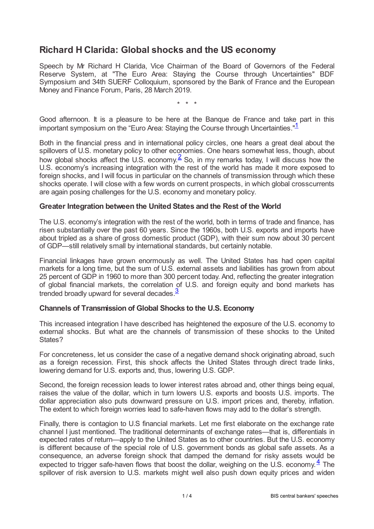# **Richard H Clarida: Global shocks and the US economy**

Speech by Mr Richard H Clarida, Vice Chairman of the Board of Governors of the Federal Reserve System, at "The Euro Area: Staying the Course through Uncertainties" BDF Symposium and 34th SUERF Colloquium, sponsored by the Bank of France and the European Money and Finance Forum, Paris, 28 March 2019.

<span id="page-0-1"></span><span id="page-0-0"></span>\* \* \*

Good afternoon. It is a pleasure to be here at the Banque de France and take part in this important symposium on the "Euro Area: Staying the Course through Uncertainties."<sup>[1](#page-2-0)</sup>

Both in the financial press and in international policy circles, one hears a great deal about the spillovers of U.S. monetary policy to other economies. One hears somewhat less, though, about how global shocks affect the U.S. economy.  $\frac{2}{5}$  $\frac{2}{5}$  $\frac{2}{5}$  So, in my remarks today, I will discuss how the U.S. economy's increasing integration with the rest of the world has made it more exposed to foreign shocks, and I will focus in particular on the channels of transmission through which these shocks operate. I will close with a few words on current prospects, in which global crosscurrents are again posing challenges for the U.S. economy and monetary policy.

## **Greater Integration between the United States and the Rest of the World**

The U.S. economy's integration with the rest of the world, both in terms of trade and finance, has risen substantially over the past 60 years. Since the 1960s, both U.S. exports and imports have about tripled as a share of gross domestic product (GDP), with their sum now about 30 percent of GDP—still relatively small by international standards, but certainly notable.

Financial linkages have grown enormously as well. The United States has had open capital markets for a long time, but the sum of U.S. external assets and liabilities has grown from about 25 percent of GDP in 1960 to more than 300 percent today. And, reflecting the greater integration of global financial markets, the correlation of U.S. and foreign equity and bond markets has trended broadly upward for several decades. $\frac{3}{2}$  $\frac{3}{2}$  $\frac{3}{2}$ 

#### <span id="page-0-2"></span>**Channels of Transmission of Global Shocks to the U.S. Economy**

This increased integration I have described has heightened the exposure of the U.S. economy to external shocks. But what are the channels of transmission of these shocks to the United States?

For concreteness, let us consider the case of a negative demand shock originating abroad, such as a foreign recession. First, this shock affects the United States through direct trade links, lowering demand for U.S. exports and, thus, lowering U.S. GDP.

Second, the foreign recession leads to lower interest rates abroad and, other things being equal, raises the value of the dollar, which in turn lowers U.S. exports and boosts U.S. imports. The dollar appreciation also puts downward pressure on U.S. import prices and, thereby, inflation. The extent to which foreign worries lead to safe-haven flows may add to the dollar's strength.

<span id="page-0-3"></span>Finally, there is contagion to U.S financial markets. Let me first elaborate on the exchange rate channel I just mentioned. The traditional determinants of exchange rates—that is, differentials in expected rates of return—apply to the United States as to other countries. But the U.S. economy is different because of the special role of U.S. government bonds as global safe assets. As a consequence, an adverse foreign shock that damped the demand for risky assets would be expected to trigger safe-haven flows that boost the dollar, weighing on the U.S. economy. $4$  The spillover of risk aversion to U.S. markets might well also push down equity prices and widen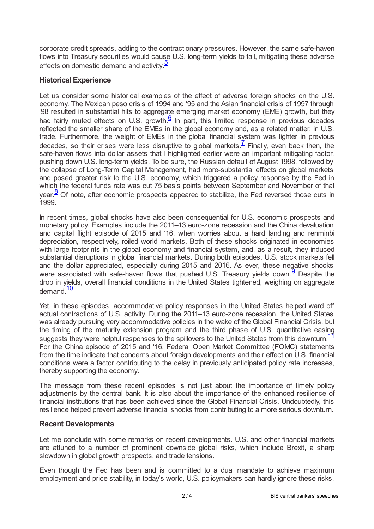corporate credit spreads, adding to the contractionary pressures. However, the same safe-haven flows into Treasury securities would cause U.S. long-term yields to fall, mitigating these adverse effects on domestic demand and activity.<sup>[5](#page-3-3)</sup>

## <span id="page-1-0"></span>**Historical Experience**

<span id="page-1-2"></span><span id="page-1-1"></span>Let us consider some historical examples of the effect of adverse foreign shocks on the U.S. economy. The Mexican peso crisis of 1994 and '95 and the Asian financial crisis of 1997 through '98 resulted in substantial hits to aggregate emerging market economy (EME) growth, but they had fairly muted effects on U.S. growth. $6 \overline{6}$  $6 \overline{6}$  In part, this limited response in previous decades reflected the smaller share of the EMEs in the global economy and, as a related matter, in U.S. trade. Furthermore, the weight of EMEs in the global financial system was lighter in previous decades, so their crises were less disruptive to global markets.<sup> $\frac{7}{5}$  $\frac{7}{5}$  $\frac{7}{5}$ </sup> Finally, even back then, the safe-haven flows into dollar assets that I highlighted earlier were an important mitigating factor, pushing down U.S. long-term yields. To be sure, the Russian default of August 1998, followed by the collapse of Long-Term Capital Management, had more-substantial effects on global markets and posed greater risk to the U.S. economy, which triggered a policy response by the Fed in which the federal funds rate was cut 75 basis points between September and November of that year. $\frac{8}{5}$  $\frac{8}{5}$  $\frac{8}{5}$  Of note, after economic prospects appeared to stabilize, the Fed reversed those cuts in 1999.

<span id="page-1-3"></span>In recent times, global shocks have also been consequential for U.S. economic prospects and monetary policy. Examples include the 2011–13 euro-zone recession and the China devaluation and capital flight episode of 2015 and '16, when worries about a hard landing and renminbi depreciation, respectively, roiled world markets. Both of these shocks originated in economies with large footprints in the global economy and financial system, and, as a result, they induced substantial disruptions in global financial markets. During both episodes, U.S. stock markets fell and the dollar appreciated, especially during 2015 and 2016. As ever, these negative shocks were associated with safe-haven flows that pushed U.S. Treasury yields down.<sup>[9](#page-3-7)</sup> Despite the drop in yields, overall financial conditions in the United States tightened, weighing on aggregate demand.<sup>[10](#page-3-8)</sup>

<span id="page-1-6"></span><span id="page-1-5"></span><span id="page-1-4"></span>Yet, in these episodes, accommodative policy responses in the United States helped ward off actual contractions of U.S. activity. During the 2011–13 euro-zone recession, the United States was already pursuing very accommodative policies in the wake of the Global Financial Crisis, but the timing of the maturity extension program and the third phase of U.S. quantitative easing suggests they were helpful responses to the spillovers to the United States from this downturn.<sup>[11](#page-3-9)</sup> For the China episode of 2015 and '16, Federal Open Market Committee (FOMC) statements from the time indicate that concerns about foreign developments and their effect on U.S. financial conditions were a factor contributing to the delay in previously anticipated policy rate increases, thereby supporting the economy.

The message from these recent episodes is not just about the importance of timely policy adjustments by the central bank. It is also about the importance of the enhanced resilience of financial institutions that has been achieved since the Global Financial Crisis. Undoubtedly, this resilience helped prevent adverse financial shocks from contributing to a more serious downturn.

#### **Recent Developments**

Let me conclude with some remarks on recent developments. U.S. and other financial markets are attuned to a number of prominent downside global risks, which include Brexit, a sharp slowdown in global growth prospects, and trade tensions.

Even though the Fed has been and is committed to a dual mandate to achieve maximum employment and price stability, in today's world, U.S. policymakers can hardly ignore these risks,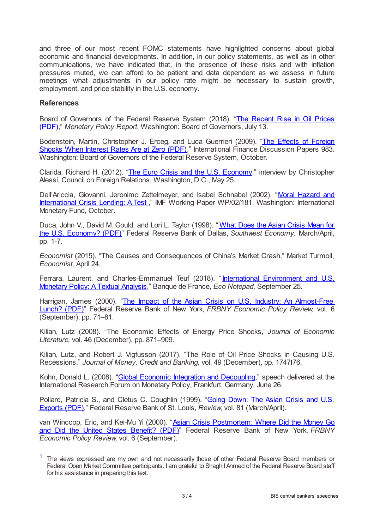and three of our most recent FOMC statements have highlighted concerns about global economic and financial developments. In addition, in our policy statements, as well as in other communications, we have indicated that, in the presence of these risks and with inflation pressures muted, we can afford to be patient and data dependent as we assess in future meetings what adjustments in our policy rate might be necessary to sustain growth, employment, and price stability in the U.S. economy.

### **References**

Board of Governors of the Federal Reserve System (2018). "The Recent Rise in Oil Prices (PDF)," *Monetary Policy Report.* [Washington:](www.federalreserve.gov/monetarypolicy/files/20180713_mprfullreport.pdf) Board of Governors, July 13.

[Bodenstein,](www.federalreserve.gov/pubs/ifdp/2009/983/ifdp983.pdf) Martin, Christopher J. Erceg, and Luca Guerrieri (2009). "The Effects of Foreign Shocks When Interest Rates Are at Zero (PDF)," International Finance Discussion Papers 983. Washington: Board of Governors of the Federal Reserve System, October.

Clarida, Richard H. (2012). "The Euro Crisis and the U.S. [Economy,](www.cfr.org/interview/euro-crisis-and-us-economy)" interview by Christopher Alessi, Council on Foreign Relations, Washington, D.C., May 25.

Dell'Ariccia, Giovanni, Jeronimo [Zettelmeyer,](www.imf.org/en/Publications/WP/Issues/2016/12/30/Moral-Hazard-and-International-Crisis-Lending-A-Test-16125) and Isabel Schnabel (2002). "Moral Hazard and International Crisis Lending: A Test ," IMF Working Paper WP/02/181. Washington: International Monetary Fund, October.

Duca, John V., David M. Gould, and Lori L. Taylor (1998). "What Does the Asian Crisis Mean for the U.S. Economy? (PDF)" Federal Reserve Bank of Dallas, *Southwest Economy,* [March/April,](www.dallasfed.org/~/media/documents/research/swe/1998/swe9802a.pdf) pp. 1-7.

*Economist* (2015). "The Causes and Consequences of China's Market Crash," Market Turmoil, *Economist,* April 24.

Ferrara, Laurent, and [Charles-Emmanuel](blocnotesdeleco.banque-france.fr/en/blog-entry/international-environment-and-us-monetary-policy-textual-analysis) Teuf (2018). "International Environment and U.S. Monetary Policy: A Textual Analysis," Banque de France, *Eco Notepad,* September 25.

Harrigan, James (2000). "The Impact of the Asian Crisis on U.S. Industry: An [Almost-Free](www.newyorkfed.org/medialibrary/media/research/epr/00v06n3/0009harr.pdf) Lunch? (PDF)" Federal Reserve Bank of New York, *FRBNY Economic Policy Review,* vol. 6 (September), pp. 71–81.

Kilian, Lutz (2008). "The Economic Effects of Energy Price Shocks," *Journal of Economic Literature,* vol. 46 (December), pp. 871–909.

Kilian, Lutz, and Robert J. Vigfusson (2017). "The Role of Oil Price Shocks in Causing U.S. Recessions," *Journal of Money, Credit and Banking,* vol. 49 (December), pp. 1747 76.

Kohn, Donald L. (2008). "Global Economic Integration and [Decoupling](www.federalreserve.gov/newsevents/speech/kohn20080626a.htm)," speech delivered at the International Research Forum on Monetary Policy, Frankfurt, Germany, June 26.

Pollard, Patricia S., and Cletus C. Coughlin (1999). "Going Down: The Asian Crisis and U.S. Exports (PDF)," Federal Reserve Bank of St. Louis, *Review,* vol. 81 [\(March/April\).](files.stlouisfed.org/files/htdocs/publications/review/99/03/9903pp.pdf)

van Wincoop, Eric, and Kei-Mu Yi (2000). "Asian Crisis [Postmortem:](www.newyorkfed.org/medialibrary/media/research/epr/00v06n3/0009vanw.pdf) Where Did the Money Go and Did the United States Benefit? (PDF)" Federal Reserve Bank of New York, *FRBNY Economic Policy Review,* vol. 6 (September).

<span id="page-2-0"></span> $1$  The views expressed are my own and not necessarily those of other Federal Reserve Board members or Federal Open Market Committee participants. I am grateful to Shaghil Ahmed of the Federal Reserve Board staff for his assistance in preparing this text.